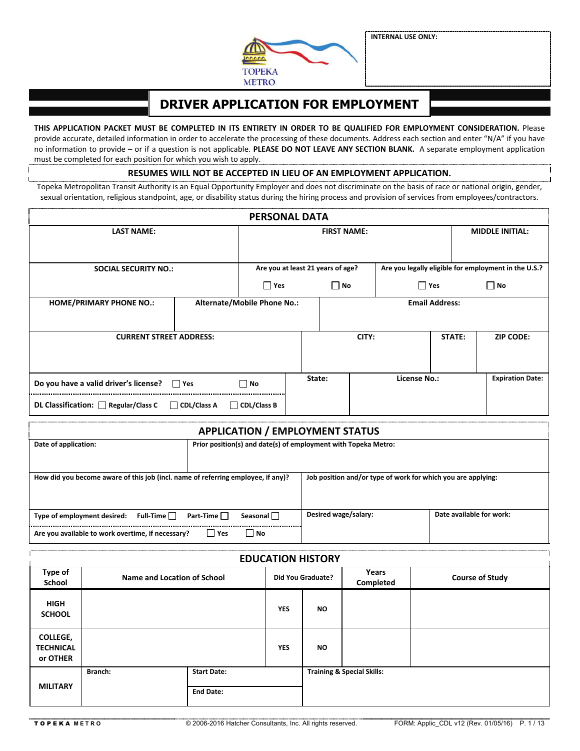**INTERNAL USE ONLY:**



# **DRIVER APPLICATION FOR EMPLOYMENT**

**THIS APPLICATION PACKET MUST BE COMPLETED IN ITS ENTIRETY IN ORDER TO BE QUALIFIED FOR EMPLOYMENT CONSIDERATION.** Please provide accurate, detailed information in order to accelerate the processing of these documents. Address each section and enter "N/A" if you have no information to provide – or if a question is not applicable. **PLEASE DO NOT LEAVE ANY SECTION BLANK.** A separate employment application must be completed for each position for which you wish to apply. 

**RESUMES WILL NOT BE ACCEPTED IN LIEU OF AN EMPLOYMENT APPLICATION.** 

Topeka Metropolitan Transit Authority is an Equal Opportunity Employer and does not discriminate on the basis of race or national origin, gender, sexual orientation, religious standpoint, age, or disability status during the hiring process and provision of services from employees/contractors.

|                                |                                                                                            |                                                                | <b>PERSONAL DATA</b>                   |                                   |                                            |                       |                                                              |        |                                                      |                         |  |
|--------------------------------|--------------------------------------------------------------------------------------------|----------------------------------------------------------------|----------------------------------------|-----------------------------------|--------------------------------------------|-----------------------|--------------------------------------------------------------|--------|------------------------------------------------------|-------------------------|--|
|                                | <b>LAST NAME:</b>                                                                          |                                                                |                                        |                                   |                                            | <b>FIRST NAME:</b>    |                                                              |        | <b>MIDDLE INITIAL:</b>                               |                         |  |
|                                | <b>SOCIAL SECURITY NO.:</b>                                                                |                                                                |                                        | Are you at least 21 years of age? |                                            |                       |                                                              |        | Are you legally eligible for employment in the U.S.? |                         |  |
|                                |                                                                                            |                                                                | $\Box$ Yes<br>$\Box$ No                |                                   |                                            | $\Box$ Yes            | $\Box$ No                                                    |        |                                                      |                         |  |
| <b>HOME/PRIMARY PHONE NO.:</b> | <b>Alternate/Mobile Phone No.:</b>                                                         |                                                                |                                        |                                   |                                            | <b>Email Address:</b> |                                                              |        |                                                      |                         |  |
|                                | <b>CURRENT STREET ADDRESS:</b>                                                             |                                                                |                                        |                                   | CITY:                                      |                       |                                                              | STATE: | <b>ZIP CODE:</b>                                     |                         |  |
|                                | Do you have a valid driver's license? □ Yes                                                |                                                                |                                        |                                   | State:<br><b>License No.:</b><br>$\Box$ No |                       |                                                              |        |                                                      | <b>Expiration Date:</b> |  |
|                                | DL Classification: Regular/Class C                                                         | $\Box$ CDL/Class A                                             | <b>CDL/Class B</b>                     |                                   |                                            |                       |                                                              |        |                                                      |                         |  |
|                                |                                                                                            |                                                                | <b>APPLICATION / EMPLOYMENT STATUS</b> |                                   |                                            |                       |                                                              |        |                                                      |                         |  |
| Date of application:           |                                                                                            | Prior position(s) and date(s) of employment with Topeka Metro: |                                        |                                   |                                            |                       |                                                              |        |                                                      |                         |  |
|                                | How did you become aware of this job (incl. name of referring employee, if any)?           |                                                                |                                        |                                   |                                            |                       | Job position and/or type of work for which you are applying: |        |                                                      |                         |  |
|                                | Type of employment desired: Full-Time<br>Are you available to work overtime, if necessary? | Part-Time<br>∣∣Yes                                             | Seasonal <sup>[1]</sup><br>  No        |                                   |                                            | Desired wage/salary:  |                                                              |        | Date available for work:                             |                         |  |
|                                |                                                                                            |                                                                | <b>EDUCATION HISTORY</b>               |                                   |                                            |                       |                                                              |        |                                                      |                         |  |
| Type of<br><b>School</b>       | <b>Name and Location of School</b>                                                         |                                                                |                                        | <b>Did You Graduate?</b>          |                                            |                       | Years<br><b>Completed</b>                                    |        |                                                      | <b>Course of Study</b>  |  |

| i y pe oi<br>School                             | Name and Location of School |                    |            | <b>Did You Graduate?</b> | I CAI J<br>Completed                  | <b>Course of Study</b> |
|-------------------------------------------------|-----------------------------|--------------------|------------|--------------------------|---------------------------------------|------------------------|
| <b>HIGH</b><br><b>SCHOOL</b>                    |                             |                    | <b>YES</b> | <b>NO</b>                |                                       |                        |
| <b>COLLEGE,</b><br><b>TECHNICAL</b><br>or OTHER |                             |                    | <b>YES</b> | <b>NO</b>                |                                       |                        |
|                                                 | Branch:                     | <b>Start Date:</b> |            |                          | <b>Training &amp; Special Skills:</b> |                        |
| <b>MILITARY</b>                                 |                             |                    |            |                          |                                       |                        |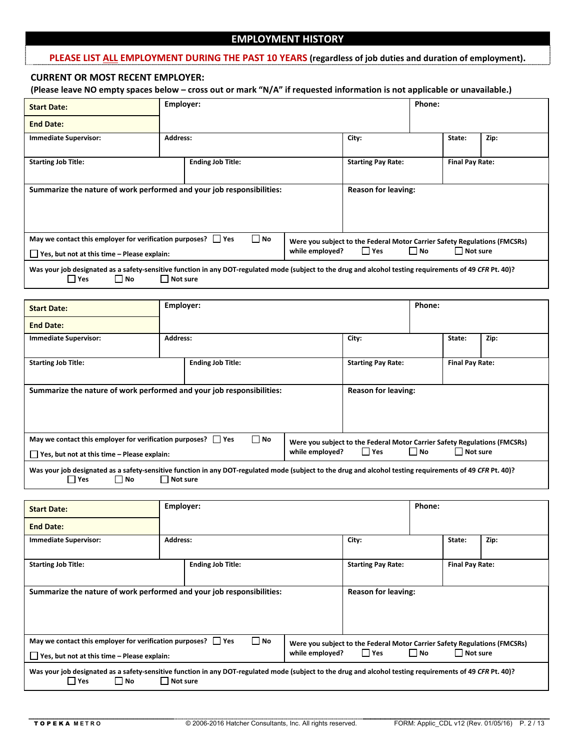### **EMPLOYMENT HISTORY**

#### **PLEASE LIST ALL EMPLOYMENT DURING THE PAST 10 YEARS (regardless of job duties and duration of employment).**

#### **CURRENT OR MOST RECENT EMPLOYER:**

**(Please leave NO empty spaces below – cross out or mark "N/A" if requested information is not applicable or unavailable.)**

| <b>Start Date:</b>                                                                                                                                                                   | Employer:                |                          |                            |                                                                                         | Phone:                 |                 |      |
|--------------------------------------------------------------------------------------------------------------------------------------------------------------------------------------|--------------------------|--------------------------|----------------------------|-----------------------------------------------------------------------------------------|------------------------|-----------------|------|
| <b>End Date:</b>                                                                                                                                                                     |                          |                          |                            |                                                                                         |                        |                 |      |
| <b>Immediate Supervisor:</b>                                                                                                                                                         | Address:                 |                          |                            | City:                                                                                   |                        | State:          | Zip: |
| <b>Starting Job Title:</b>                                                                                                                                                           |                          | <b>Ending Job Title:</b> |                            | <b>Starting Pay Rate:</b><br><b>Final Pay Rate:</b>                                     |                        |                 |      |
| Summarize the nature of work performed and your job responsibilities:                                                                                                                |                          |                          | <b>Reason for leaving:</b> |                                                                                         |                        |                 |      |
| May we contact this employer for verification purposes? $\Box$ Yes<br>$\blacksquare$ Yes, but not at this time – Please explain:                                                     |                          | $\Box$ No                | while employed?            | Were you subject to the Federal Motor Carrier Safety Regulations (FMCSRs)<br>$\Box$ Yes | $\Box$ No              | $\Box$ Not sure |      |
| Was your job designated as a safety-sensitive function in any DOT-regulated mode (subject to the drug and alcohol testing requirements of 49 CFR Pt. 40)?<br>$\Box$ Yes<br>$\Box$ No |                          | Not sure                 |                            |                                                                                         |                        |                 |      |
|                                                                                                                                                                                      |                          |                          |                            |                                                                                         |                        |                 |      |
| <b>Start Date:</b>                                                                                                                                                                   | Employer:                |                          |                            |                                                                                         | Phone:                 |                 |      |
| <b>End Date:</b>                                                                                                                                                                     |                          |                          |                            |                                                                                         |                        |                 |      |
| <b>Immediate Supervisor:</b>                                                                                                                                                         | Address:                 |                          |                            | City:                                                                                   |                        | State:          | Zip: |
| <b>Starting Job Title:</b>                                                                                                                                                           | <b>Ending Job Title:</b> |                          | <b>Starting Pay Rate:</b>  |                                                                                         | <b>Final Pay Rate:</b> |                 |      |
| Summarize the nature of work performed and your job responsibilities:                                                                                                                |                          |                          | <b>Reason for leaving:</b> |                                                                                         |                        |                 |      |

| $\Box$ Yes<br>May we contact this employer for verification purposes? [ | l No |                 |      |      | Were you subject to the Federal Motor Carrier Safety Regulations (FMCSRs) |  |
|-------------------------------------------------------------------------|------|-----------------|------|------|---------------------------------------------------------------------------|--|
| $\Box$ Yes, but not at this time – Please explain:                      |      | while emploved? | 'Yes | □ No | l Not sure                                                                |  |

Was your job designated as a safety-sensitive function in any DOT-regulated mode (subject to the drug and alcohol testing requirements of 49 *CFR* Pt. 40)?<br>
1 Yes 
1 Not **Interpret in the same interpret of the S** Not Sure  $\Box$  Not sure

| <b>Start Date:</b>                                                                                                                                                           | Phone:<br>Employer: |                                                                                    |                            |          |  |        |      |
|------------------------------------------------------------------------------------------------------------------------------------------------------------------------------|---------------------|------------------------------------------------------------------------------------|----------------------------|----------|--|--------|------|
| <b>End Date:</b>                                                                                                                                                             |                     |                                                                                    |                            |          |  |        |      |
| <b>Immediate Supervisor:</b>                                                                                                                                                 | Address:            |                                                                                    |                            | City:    |  | State: | Zip: |
| <b>Starting Job Title:</b>                                                                                                                                                   |                     | <b>Final Pay Rate:</b>                                                             |                            |          |  |        |      |
| Summarize the nature of work performed and your job responsibilities:                                                                                                        |                     |                                                                                    | <b>Reason for leaving:</b> |          |  |        |      |
| May we contact this employer for verification purposes? $\Box$ Yes<br>$\Box$ Yes, but not at this time – Please explain:                                                     | while employed?     | Were you subject to the Federal Motor Carrier Safety Regulations (FMCSRs)<br>l Yes | l No                       | Not sure |  |        |      |
| Was your job designated as a safety-sensitive function in any DOT-regulated mode (subject to the drug and alcohol testing requirements of 49 CFR Pt. 40)?<br>l Yes<br>    No | Not sure            |                                                                                    |                            |          |  |        |      |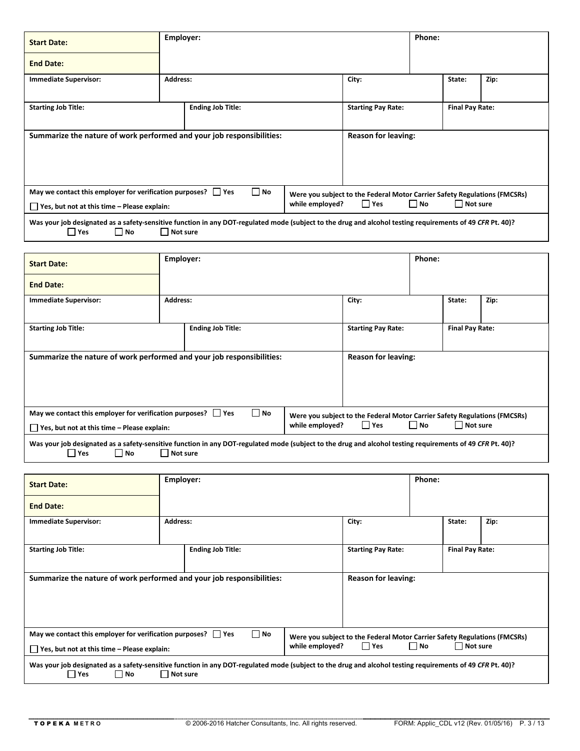| <b>Start Date:</b>                                                                                                                                                                                         |                 | Employer:<br>Phone:                                                                |           |                            |  |                        |      |  |
|------------------------------------------------------------------------------------------------------------------------------------------------------------------------------------------------------------|-----------------|------------------------------------------------------------------------------------|-----------|----------------------------|--|------------------------|------|--|
| <b>End Date:</b>                                                                                                                                                                                           |                 |                                                                                    |           |                            |  |                        |      |  |
| <b>Immediate Supervisor:</b>                                                                                                                                                                               | <b>Address:</b> |                                                                                    |           | City:                      |  | State:                 | Zip: |  |
| <b>Starting Job Title:</b>                                                                                                                                                                                 |                 | <b>Ending Job Title:</b>                                                           |           | <b>Starting Pay Rate:</b>  |  | <b>Final Pay Rate:</b> |      |  |
| Summarize the nature of work performed and your job responsibilities:                                                                                                                                      |                 |                                                                                    |           | <b>Reason for leaving:</b> |  |                        |      |  |
|                                                                                                                                                                                                            |                 |                                                                                    |           |                            |  |                        |      |  |
| May we contact this employer for verification purposes? $\Box$ Yes<br>$\Box$ Yes, but not at this time – Please explain:                                                                                   | while employed? | Were you subject to the Federal Motor Carrier Safety Regulations (FMCSRs)<br>  Yes | $\Box$ No | Not sure                   |  |                        |      |  |
| Was your job designated as a safety-sensitive function in any DOT-regulated mode (subject to the drug and alcohol testing requirements of 49 CFR Pt. 40)?<br>$\square$ No<br>$\Box$ Yes<br>$\Box$ Not sure |                 |                                                                                    |           |                            |  |                        |      |  |

| <b>Start Date:</b>                                                                                                                                        | Employer:       |                          |                                                                           |                            | Phone: |                        |      |  |
|-----------------------------------------------------------------------------------------------------------------------------------------------------------|-----------------|--------------------------|---------------------------------------------------------------------------|----------------------------|--------|------------------------|------|--|
| <b>End Date:</b>                                                                                                                                          |                 |                          |                                                                           |                            |        |                        |      |  |
| <b>Immediate Supervisor:</b>                                                                                                                              | <b>Address:</b> |                          |                                                                           | City:                      |        | State:                 | Zip: |  |
|                                                                                                                                                           |                 |                          |                                                                           |                            |        |                        |      |  |
| <b>Starting Job Title:</b>                                                                                                                                |                 | <b>Ending Job Title:</b> |                                                                           | <b>Starting Pay Rate:</b>  |        | <b>Final Pay Rate:</b> |      |  |
|                                                                                                                                                           |                 |                          |                                                                           |                            |        |                        |      |  |
| Summarize the nature of work performed and your job responsibilities:                                                                                     |                 |                          |                                                                           | <b>Reason for leaving:</b> |        |                        |      |  |
|                                                                                                                                                           |                 |                          |                                                                           |                            |        |                        |      |  |
|                                                                                                                                                           |                 |                          |                                                                           |                            |        |                        |      |  |
|                                                                                                                                                           |                 |                          |                                                                           |                            |        |                        |      |  |
| May we contact this employer for verification purposes? $\Box$ Yes                                                                                        | $\square$ No    |                          | Were you subject to the Federal Motor Carrier Safety Regulations (FMCSRs) |                            |        |                        |      |  |
| $\Box$ Yes, but not at this time – Please explain:                                                                                                        | while employed? | Yes                      | $\Box$ No                                                                 | Not sure                   |        |                        |      |  |
| Was your job designated as a safety-sensitive function in any DOT-regulated mode (subject to the drug and alcohol testing requirements of 49 CFR Pt. 40)? |                 |                          |                                                                           |                            |        |                        |      |  |

■ Yes ■ No Not sure

| <b>Start Date:</b>                                                                                                                                                               | Employer:                |                                                                                     | Phone:                     |          |                        |        |      |
|----------------------------------------------------------------------------------------------------------------------------------------------------------------------------------|--------------------------|-------------------------------------------------------------------------------------|----------------------------|----------|------------------------|--------|------|
| <b>End Date:</b>                                                                                                                                                                 |                          |                                                                                     |                            |          |                        |        |      |
| <b>Immediate Supervisor:</b>                                                                                                                                                     | <b>Address:</b>          |                                                                                     |                            | City:    |                        | State: | Zip: |
| <b>Starting Job Title:</b>                                                                                                                                                       | <b>Ending Job Title:</b> |                                                                                     | <b>Starting Pay Rate:</b>  |          | <b>Final Pay Rate:</b> |        |      |
| Summarize the nature of work performed and your job responsibilities:                                                                                                            |                          |                                                                                     | <b>Reason for leaving:</b> |          |                        |        |      |
| May we contact this employer for verification purposes? $\Box$ Yes<br>Yes, but not at this time - Please explain:                                                                | while employed?          | Were you subject to the Federal Motor Carrier Safety Regulations (FMCSRs)<br>l lYes | $\Box$ No                  | Not sure |                        |        |      |
| Was your job designated as a safety-sensitive function in any DOT-regulated mode (subject to the drug and alcohol testing requirements of 49 CFR Pt. 40)?<br><b>Pres</b><br>│ No | Not sure                 |                                                                                     |                            |          |                        |        |      |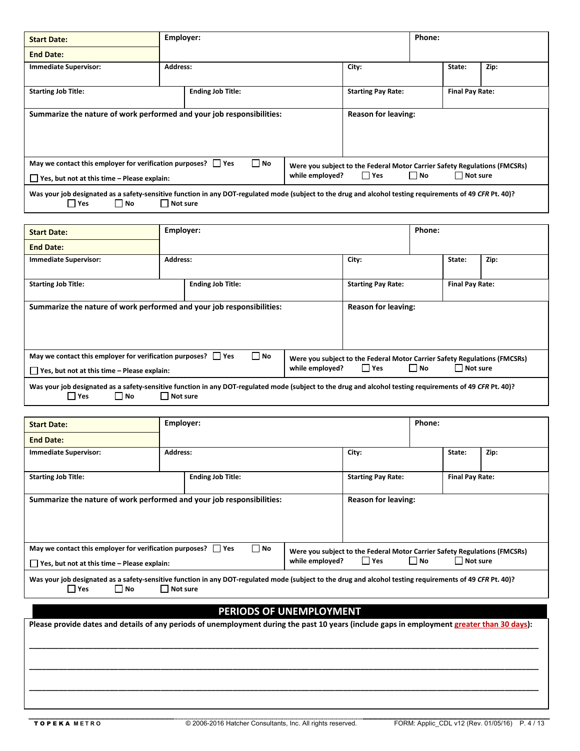| <b>Start Date:</b>                                                                                                                                                          |                 | Employer:<br>Phone:      |                                                                                    |                           |          |                        |      |  |
|-----------------------------------------------------------------------------------------------------------------------------------------------------------------------------|-----------------|--------------------------|------------------------------------------------------------------------------------|---------------------------|----------|------------------------|------|--|
| <b>End Date:</b>                                                                                                                                                            |                 |                          |                                                                                    |                           |          |                        |      |  |
| Immediate Supervisor:                                                                                                                                                       | <b>Address:</b> |                          |                                                                                    | City:                     |          | State:                 | Zip: |  |
| <b>Starting Job Title:</b>                                                                                                                                                  |                 | <b>Ending Job Title:</b> |                                                                                    | <b>Starting Pay Rate:</b> |          | <b>Final Pay Rate:</b> |      |  |
| Summarize the nature of work performed and your job responsibilities:                                                                                                       |                 |                          | <b>Reason for leaving:</b>                                                         |                           |          |                        |      |  |
| May we contact this employer for verification purposes? $\Box$ Yes<br>$\Box$ Yes, but not at this time – Please explain:                                                    | $\Box$ No       | while employed?          | Were you subject to the Federal Motor Carrier Safety Regulations (FMCSRs)<br>  Yes | $\Box$ No                 | Not sure |                        |      |  |
| Was your job designated as a safety-sensitive function in any DOT-regulated mode (subject to the drug and alcohol testing requirements of 49 CFR Pt. 40)?<br>l INo<br>  Yes | Not sure        |                          |                                                                                    |                           |          |                        |      |  |
|                                                                                                                                                                             |                 |                          |                                                                                    |                           |          |                        |      |  |

| <b>Start Date:</b>                                                                                                                                                        | Employer:       |                                                                           |           |                            | Phone: |                        |      |
|---------------------------------------------------------------------------------------------------------------------------------------------------------------------------|-----------------|---------------------------------------------------------------------------|-----------|----------------------------|--------|------------------------|------|
| <b>End Date:</b>                                                                                                                                                          |                 |                                                                           |           |                            |        |                        |      |
| <b>Immediate Supervisor:</b>                                                                                                                                              | <b>Address:</b> |                                                                           |           | City:                      |        | State:                 | Zip: |
| <b>Starting Job Title:</b>                                                                                                                                                |                 | <b>Ending Job Title:</b>                                                  |           | <b>Starting Pay Rate:</b>  |        | <b>Final Pay Rate:</b> |      |
|                                                                                                                                                                           |                 |                                                                           |           |                            |        |                        |      |
| Summarize the nature of work performed and your job responsibilities:                                                                                                     |                 |                                                                           |           | <b>Reason for leaving:</b> |        |                        |      |
|                                                                                                                                                                           |                 |                                                                           |           |                            |        |                        |      |
|                                                                                                                                                                           |                 |                                                                           |           |                            |        |                        |      |
| May we contact this employer for verification purposes? $\vert \vert$ Yes                                                                                                 | $\Box$ No       | Were you subject to the Federal Motor Carrier Safety Regulations (FMCSRs) |           |                            |        |                        |      |
| $\Box$ Yes, but not at this time – Please explain:                                                                                                                        | while employed? | $\Box$ Yes                                                                | $\Box$ No | Not sure                   |        |                        |      |
| Was your job designated as a safety-sensitive function in any DOT-regulated mode (subject to the drug and alcohol testing requirements of 49 CFR Pt. 40)?<br>∣ INo<br>Yes |                 |                                                                           |           |                            |        |                        |      |

| <b>Start Date:</b>                                                                                                                                                          |                 | Phone:<br>Employer:                                                                  |           |                            |  |        |      |
|-----------------------------------------------------------------------------------------------------------------------------------------------------------------------------|-----------------|--------------------------------------------------------------------------------------|-----------|----------------------------|--|--------|------|
| <b>End Date:</b>                                                                                                                                                            |                 |                                                                                      |           |                            |  |        |      |
| <b>Immediate Supervisor:</b>                                                                                                                                                | <b>Address:</b> |                                                                                      |           | City:                      |  | State: | Zip: |
| <b>Starting Job Title:</b>                                                                                                                                                  |                 | <b>Final Pay Rate:</b>                                                               |           |                            |  |        |      |
| Summarize the nature of work performed and your job responsibilities:                                                                                                       |                 |                                                                                      |           | <b>Reason for leaving:</b> |  |        |      |
| May we contact this employer for verification purposes? $\Box$ Yes<br>$\Box$ Yes, but not at this time – Please explain:                                                    | while employed? | Were you subject to the Federal Motor Carrier Safety Regulations (FMCSRs)<br>l l Yes | $\Box$ No | $\Box$ Not sure            |  |        |      |
| Was your job designated as a safety-sensitive function in any DOT-regulated mode (subject to the drug and alcohol testing requirements of 49 CFR Pt. 40)?<br>l Yes<br>   No | l Not sure      |                                                                                      |           |                            |  |        |      |

# **PERIODS OF UNEMPLOYMENT**

**Please provide dates and details of any periods of unemployment during the past 10 years (include gaps in employment greater than 30 days):** 

**\_\_\_\_\_\_\_\_\_\_\_\_\_\_\_\_\_\_\_\_\_\_\_\_\_\_\_\_\_\_\_\_\_\_\_\_\_\_\_\_\_\_\_\_\_\_\_\_\_\_\_\_\_\_\_\_\_\_\_\_\_\_\_\_\_\_\_\_\_\_\_\_\_\_\_\_\_\_\_\_\_\_\_\_\_\_\_\_\_\_\_\_\_\_\_\_\_\_\_\_\_\_\_\_\_\_\_\_\_\_\_\_\_\_\_\_\_\_\_\_** 

**\_\_\_\_\_\_\_\_\_\_\_\_\_\_\_\_\_\_\_\_\_\_\_\_\_\_\_\_\_\_\_\_\_\_\_\_\_\_\_\_\_\_\_\_\_\_\_\_\_\_\_\_\_\_\_\_\_\_\_\_\_\_\_\_\_\_\_\_\_\_\_\_\_\_\_\_\_\_\_\_\_\_\_\_\_\_\_\_\_\_\_\_\_\_\_\_\_\_\_\_\_\_\_\_\_\_\_\_\_\_\_\_\_\_\_\_\_\_\_\_** 

**\_\_\_\_\_\_\_\_\_\_\_\_\_\_\_\_\_\_\_\_\_\_\_\_\_\_\_\_\_\_\_\_\_\_\_\_\_\_\_\_\_\_\_\_\_\_\_\_\_\_\_\_\_\_\_\_\_\_\_\_\_\_\_\_\_\_\_\_\_\_\_\_\_\_\_\_\_\_\_\_\_\_\_\_\_\_\_\_\_\_\_\_\_\_\_\_\_\_\_\_\_\_\_\_\_\_\_\_\_\_\_\_\_\_\_\_\_\_\_\_**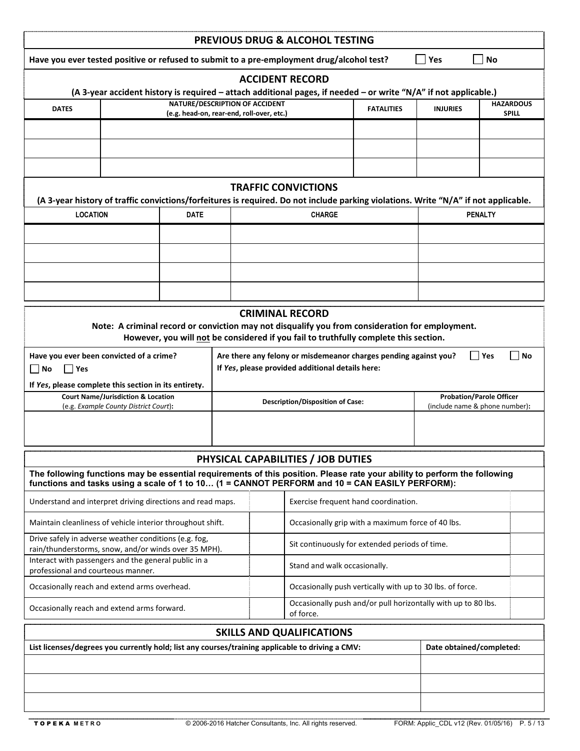|                                                                                                                                            |                                                                                        |                                                                             |  |  | PREVIOUS DRUG & ALCOHOL TESTING                                                                                                                                                         |                   |                                |                                 |                                  |  |
|--------------------------------------------------------------------------------------------------------------------------------------------|----------------------------------------------------------------------------------------|-----------------------------------------------------------------------------|--|--|-----------------------------------------------------------------------------------------------------------------------------------------------------------------------------------------|-------------------|--------------------------------|---------------------------------|----------------------------------|--|
| Have you ever tested positive or refused to submit to a pre-employment drug/alcohol test?                                                  |                                                                                        |                                                                             |  |  |                                                                                                                                                                                         |                   | Yes                            | <b>No</b>                       |                                  |  |
| <b>ACCIDENT RECORD</b><br>(A 3-year accident history is required – attach additional pages, if needed – or write "N/A" if not applicable.) |                                                                                        |                                                                             |  |  |                                                                                                                                                                                         |                   |                                |                                 |                                  |  |
|                                                                                                                                            |                                                                                        |                                                                             |  |  |                                                                                                                                                                                         |                   |                                |                                 |                                  |  |
| <b>DATES</b>                                                                                                                               |                                                                                        | NATURE/DESCRIPTION OF ACCIDENT<br>(e.g. head-on, rear-end, roll-over, etc.) |  |  |                                                                                                                                                                                         | <b>FATALITIES</b> | <b>INJURIES</b>                |                                 | <b>HAZARDOUS</b><br><b>SPILL</b> |  |
|                                                                                                                                            |                                                                                        |                                                                             |  |  |                                                                                                                                                                                         |                   |                                |                                 |                                  |  |
|                                                                                                                                            |                                                                                        |                                                                             |  |  |                                                                                                                                                                                         |                   |                                |                                 |                                  |  |
|                                                                                                                                            |                                                                                        |                                                                             |  |  |                                                                                                                                                                                         |                   |                                |                                 |                                  |  |
|                                                                                                                                            |                                                                                        |                                                                             |  |  |                                                                                                                                                                                         |                   |                                |                                 |                                  |  |
|                                                                                                                                            |                                                                                        |                                                                             |  |  | <b>TRAFFIC CONVICTIONS</b><br>(A 3-year history of traffic convictions/forfeitures is required. Do not include parking violations. Write "N/A" if not applicable.                       |                   |                                |                                 |                                  |  |
| <b>LOCATION</b>                                                                                                                            |                                                                                        | <b>DATE</b>                                                                 |  |  | <b>CHARGE</b>                                                                                                                                                                           |                   |                                | <b>PENALTY</b>                  |                                  |  |
|                                                                                                                                            |                                                                                        |                                                                             |  |  |                                                                                                                                                                                         |                   |                                |                                 |                                  |  |
|                                                                                                                                            |                                                                                        |                                                                             |  |  |                                                                                                                                                                                         |                   |                                |                                 |                                  |  |
|                                                                                                                                            |                                                                                        |                                                                             |  |  |                                                                                                                                                                                         |                   |                                |                                 |                                  |  |
|                                                                                                                                            |                                                                                        |                                                                             |  |  |                                                                                                                                                                                         |                   |                                |                                 |                                  |  |
|                                                                                                                                            |                                                                                        |                                                                             |  |  |                                                                                                                                                                                         |                   |                                |                                 |                                  |  |
|                                                                                                                                            |                                                                                        |                                                                             |  |  | <b>CRIMINAL RECORD</b>                                                                                                                                                                  |                   |                                |                                 |                                  |  |
|                                                                                                                                            |                                                                                        |                                                                             |  |  | Note: A criminal record or conviction may not disqualify you from consideration for employment.<br>However, you will not be considered if you fail to truthfully complete this section. |                   |                                |                                 |                                  |  |
| Have you ever been convicted of a crime?                                                                                                   |                                                                                        |                                                                             |  |  | Are there any felony or misdemeanor charges pending against you?                                                                                                                        |                   |                                | Yes                             | No                               |  |
| No<br>Yes                                                                                                                                  |                                                                                        |                                                                             |  |  | If Yes, please provided additional details here:                                                                                                                                        |                   |                                |                                 |                                  |  |
| If Yes, please complete this section in its entirety.                                                                                      |                                                                                        |                                                                             |  |  |                                                                                                                                                                                         |                   |                                |                                 |                                  |  |
|                                                                                                                                            | <b>Court Name/Jurisdiction &amp; Location</b><br>(e.g. Example County District Court): |                                                                             |  |  | <b>Description/Disposition of Case:</b>                                                                                                                                                 |                   | (include name & phone number): | <b>Probation/Parole Officer</b> |                                  |  |
|                                                                                                                                            |                                                                                        |                                                                             |  |  |                                                                                                                                                                                         |                   |                                |                                 |                                  |  |
|                                                                                                                                            |                                                                                        |                                                                             |  |  |                                                                                                                                                                                         |                   |                                |                                 |                                  |  |
|                                                                                                                                            |                                                                                        |                                                                             |  |  | PHYSICAL CAPABILITIES / JOB DUTIES                                                                                                                                                      |                   |                                |                                 |                                  |  |
| The following functions may be essential requirements of this position. Please rate your ability to perform the following                  |                                                                                        |                                                                             |  |  |                                                                                                                                                                                         |                   |                                |                                 |                                  |  |
| functions and tasks using a scale of 1 to 10 (1 = CANNOT PERFORM and 10 = CAN EASILY PERFORM):                                             |                                                                                        |                                                                             |  |  |                                                                                                                                                                                         |                   |                                |                                 |                                  |  |
| Understand and interpret driving directions and read maps.                                                                                 |                                                                                        |                                                                             |  |  | Exercise frequent hand coordination.                                                                                                                                                    |                   |                                |                                 |                                  |  |
| Maintain cleanliness of vehicle interior throughout shift.                                                                                 |                                                                                        |                                                                             |  |  | Occasionally grip with a maximum force of 40 lbs.                                                                                                                                       |                   |                                |                                 |                                  |  |
| Drive safely in adverse weather conditions (e.g. fog,                                                                                      |                                                                                        |                                                                             |  |  | Sit continuously for extended periods of time.                                                                                                                                          |                   |                                |                                 |                                  |  |
| rain/thunderstorms, snow, and/or winds over 35 MPH).<br>Interact with passengers and the general public in a                               |                                                                                        |                                                                             |  |  | Stand and walk occasionally.                                                                                                                                                            |                   |                                |                                 |                                  |  |
| professional and courteous manner.                                                                                                         |                                                                                        |                                                                             |  |  |                                                                                                                                                                                         |                   |                                |                                 |                                  |  |
| Occasionally reach and extend arms overhead.                                                                                               |                                                                                        |                                                                             |  |  | Occasionally push vertically with up to 30 lbs. of force.                                                                                                                               |                   |                                |                                 |                                  |  |
| Occasionally reach and extend arms forward.                                                                                                |                                                                                        |                                                                             |  |  | Occasionally push and/or pull horizontally with up to 80 lbs.<br>of force.                                                                                                              |                   |                                |                                 |                                  |  |
|                                                                                                                                            |                                                                                        |                                                                             |  |  | <b>SKILLS AND QUALIFICATIONS</b>                                                                                                                                                        |                   |                                |                                 |                                  |  |
| List licenses/degrees you currently hold; list any courses/training applicable to driving a CMV:                                           |                                                                                        |                                                                             |  |  |                                                                                                                                                                                         |                   | Date obtained/completed:       |                                 |                                  |  |
|                                                                                                                                            |                                                                                        |                                                                             |  |  |                                                                                                                                                                                         |                   |                                |                                 |                                  |  |
|                                                                                                                                            |                                                                                        |                                                                             |  |  |                                                                                                                                                                                         |                   |                                |                                 |                                  |  |
|                                                                                                                                            |                                                                                        |                                                                             |  |  |                                                                                                                                                                                         |                   |                                |                                 |                                  |  |